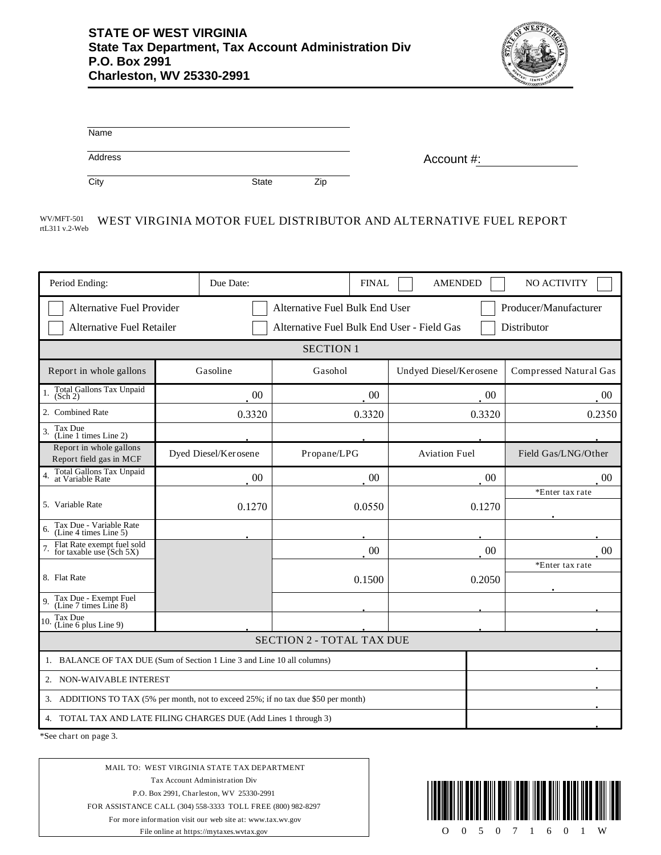

| Name    |              |     |            |
|---------|--------------|-----|------------|
| Address |              |     | Account #: |
| City    | <b>State</b> | Zip |            |

#### WV/MFT-501 WEST VIRGINIA MOTOR FUEL DISTRIBUTOR AND ALTERNATIVE FUEL REPORT rtL311 v.2-Web

| Period Ending:                                                                                                                                                                               | Due Date:            | <b>FINAL</b> | <b>AMENDED</b>         | NO ACTIVITY            |
|----------------------------------------------------------------------------------------------------------------------------------------------------------------------------------------------|----------------------|--------------|------------------------|------------------------|
| <b>Alternative Fuel Provider</b><br>Alternative Fuel Bulk End User<br>Producer/Manufacturer<br>Alternative Fuel Bulk End User - Field Gas<br>Distributor<br><b>Alternative Fuel Retailer</b> |                      |              |                        |                        |
| <b>SECTION 1</b>                                                                                                                                                                             |                      |              |                        |                        |
|                                                                                                                                                                                              |                      |              |                        |                        |
| Report in whole gallons                                                                                                                                                                      | Gasoline             | Gasohol      | Undyed Diesel/Kerosene | Compressed Natural Gas |
| Total Gallons Tax Unpaid<br>(Sch 2)                                                                                                                                                          | 00                   | 00           | 00                     | $00\,$                 |
| 2. Combined Rate                                                                                                                                                                             | 0.3320               | 0.3320       | 0.3320                 | 0.2350                 |
| Tax Due<br>3.<br>(Line 1 times Line 2)                                                                                                                                                       |                      |              |                        |                        |
| Report in whole gallons<br>Report field gas in MCF                                                                                                                                           | Dyed Diesel/Kerosene | Propane/LPG  | <b>Aviation Fuel</b>   | Field Gas/LNG/Other    |
| Total Gallons Tax Unpaid<br>at Variable Rate<br>$\overline{4}$ .                                                                                                                             | 00                   | 00           | 00                     | 00                     |
| 5. Variable Rate                                                                                                                                                                             | 0.1270               | 0.0550       | 0.1270                 | *Enter tax rate        |
| Tax Due - Variable Rate<br>(Line 4 times Line 5)<br>6.                                                                                                                                       |                      |              |                        |                        |
| Flat Rate exempt fuel sold<br>for taxable use (Sch 5X)                                                                                                                                       |                      | 00           | 00                     | 0 <sup>0</sup>         |
| 8. Flat Rate                                                                                                                                                                                 |                      | 0.1500       | 0.2050                 | *Enter tax rate        |
| Tax Due - Exempt Fuel<br>(Line 7 times Line 8)<br>9.                                                                                                                                         |                      |              |                        |                        |
| Tax Due<br>10.<br>(Line 6 plus Line 9)                                                                                                                                                       |                      |              |                        |                        |
| <b>SECTION 2 - TOTAL TAX DUE</b>                                                                                                                                                             |                      |              |                        |                        |
| 1. BALANCE OF TAX DUE (Sum of Section 1 Line 3 and Line 10 all columns)                                                                                                                      |                      |              |                        |                        |
| 2. NON-WAIVABLE INTEREST                                                                                                                                                                     |                      |              |                        |                        |
| 3. ADDITIONS TO TAX (5% per month, not to exceed 25%; if no tax due \$50 per month)                                                                                                          |                      |              |                        |                        |
| 4. TOTAL TAX AND LATE FILING CHARGES DUE (Add Lines 1 through 3)                                                                                                                             |                      |              |                        |                        |

\*See chart on page 3.

MAIL TO: WEST VIRGINIA STATE TAX DEPARTMENT Tax Account Administration Div P.O. Box 2991, Charleston, WV 25330-2991 FOR ASSISTANCE CALL (304) 558-3333 TOLL FREE (800) 982-8297 For more information visit our web site at: www.tax.wv.gov File online at https://mytaxes.wvtax.gov

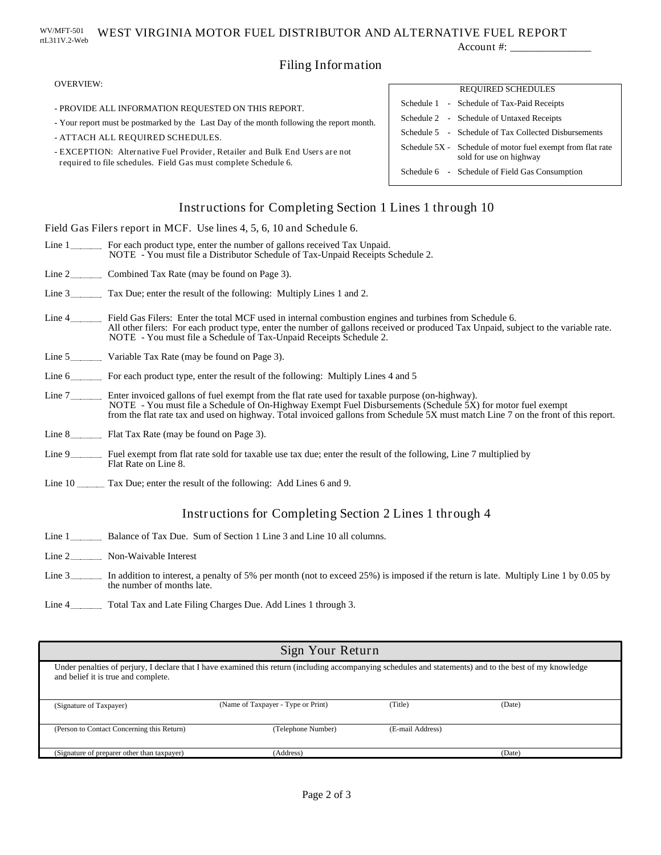#### WEST VIRGINIA MOTOR FUEL DISTRIBUTOR AND ALTERNATIVE FUEL REPORT rtL311V.2-Web WV/MFT-501

Account #: \_

# Filing Information

### OVERVIEW:

- PROVIDE ALL INFORMATION REQUESTED ON THIS REPORT.

- Your report must be postmarked by the Last Day of the month following the report month.
- ATTACH ALL REQUIRED SCHEDULES.
- EXCEPTION: Alternative Fuel Provider, Retailer and Bulk End Users are not required to file schedules. Field Gas must complete Schedule 6.

# REQUIRED SCHEDULES Schedule 1 - Schedule of Tax-Paid Receipts Schedule 5 - Schedule of Tax Collected Disbursements Schedule 2 - Schedule of Untaxed Receipts Schedule 5X - Schedule of motor fuel exempt from flat rate sold for use on highway Schedule 6 - Schedule of Field Gas Consumption

# Instructions for Completing Section 1 Lines 1 through 10

Field Gas Filers report in MCF. Use lines 4, 5, 6, 10 and Schedule 6.

- Line 1 \_\_\_\_\_\_\_\_\_ For each product type, enter the number of gallons received Tax Unpaid. NOTE - You must file a Distributor Schedule of Tax-Unpaid Receipts Schedule 2.
- Line 2<sup>2</sup> Combined Tax Rate (may be found on Page 3).
- Line 3 Tax Due; enter the result of the following: Multiply Lines 1 and 2.
- Line 4 Field Gas Filers: Enter the total MCF used in internal combustion engines and turbines from Schedule 6. NOTE - You must file a Schedule of Tax-Unpaid Receipts Schedule 2. All other filers: For each product type, enter the number of gallons received or produced Tax Unpaid, subject to the variable rate.
- Line 5 Variable Tax Rate (may be found on Page 3).
- Line 6 \_\_\_\_\_\_\_\_\_ For each product type, enter the result of the following: Multiply Lines 4 and 5
- Enter invoiced gallons of fuel exempt from the flat rate used for taxable purpose (on-highway). Line 7 NOTE - You must file a Schedule of On-Highway Exempt Fuel Disbursements (Schedule 5X) for motor fuel exempt from the flat rate tax and used on highway. Total invoiced gallons from Schedule 5X must match Line 7 on the front of this report.
- Flat Tax Rate (may be found on Page 3). Line 8
- Fuel exempt from flat rate sold for taxable use tax due; enter the result of the following, Line 7 multiplied by Line 9 Flat Rate on Line 8.
- Line 10 Tax Due; enter the result of the following: Add Lines 6 and 9.

## Instructions for Completing Section 2 Lines 1 through 4

- Line 1 **Balance of Tax Due.** Sum of Section 1 Line 3 and Line 10 all columns.
- Line 2
- Line 3 In addition to interest, a penalty of 5% per month (not to exceed 25%) is imposed if the return is late. Multiply Line 1 by 0.05 by the number of months late.
- Line 4 Total Tax and Late Filing Charges Due. Add Lines 1 through 3.

| Sign Your Return                                                                                                                                                                                |                                    |                  |        |
|-------------------------------------------------------------------------------------------------------------------------------------------------------------------------------------------------|------------------------------------|------------------|--------|
| Under penalties of perjury, I declare that I have examined this return (including accompanying schedules and statements) and to the best of my knowledge<br>and belief it is true and complete. |                                    |                  |        |
| (Signature of Taxpayer)                                                                                                                                                                         | (Name of Taxpayer - Type or Print) | (Title)          | (Date) |
| (Person to Contact Concerning this Return)                                                                                                                                                      | (Telephone Number)                 | (E-mail Address) |        |
| (Signature of preparer other than taxpayer)                                                                                                                                                     | (Address)                          |                  | (Date) |